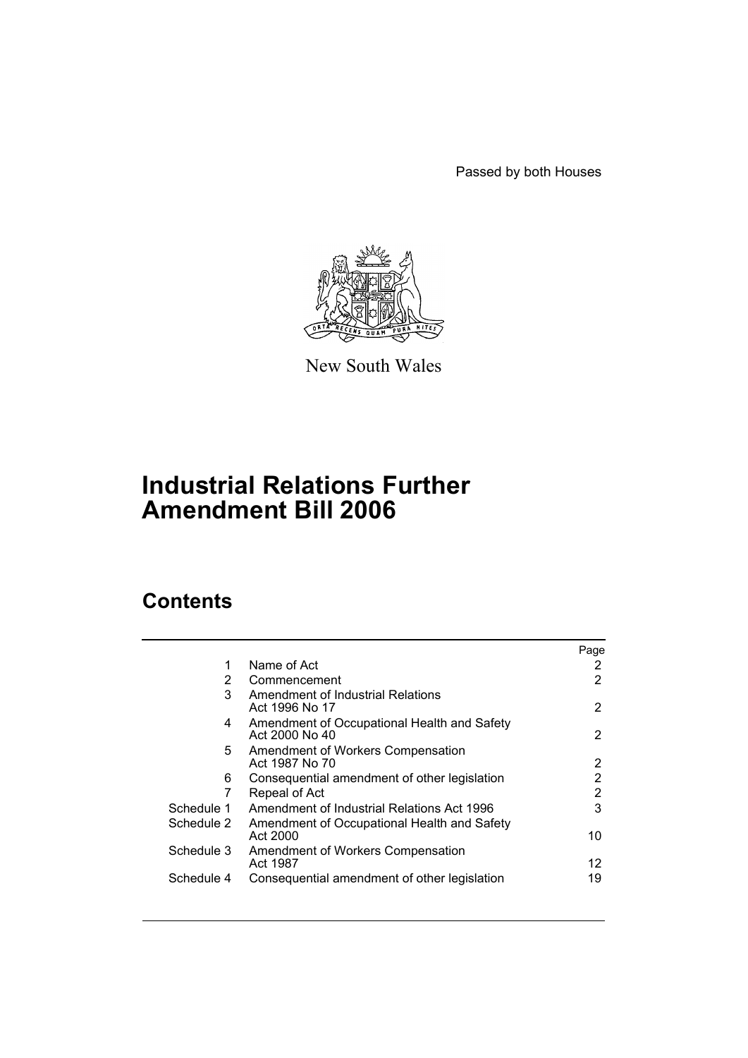Passed by both Houses



New South Wales

# **Industrial Relations Further Amendment Bill 2006**

# **Contents**

|            |                                                               | Page |
|------------|---------------------------------------------------------------|------|
| 1          | Name of Act                                                   | 2    |
| 2          | Commencement                                                  | 2    |
| 3          | Amendment of Industrial Relations<br>Act 1996 No 17           | 2    |
| 4          | Amendment of Occupational Health and Safety<br>Act 2000 No 40 | 2    |
| 5          | Amendment of Workers Compensation<br>Act 1987 No 70           | 2    |
| 6          | Consequential amendment of other legislation                  | 2    |
| 7          | Repeal of Act                                                 | 2    |
| Schedule 1 | Amendment of Industrial Relations Act 1996                    | 3    |
| Schedule 2 | Amendment of Occupational Health and Safety<br>Act 2000       | 10   |
| Schedule 3 | Amendment of Workers Compensation<br>Act 1987                 | 12   |
| Schedule 4 | Consequential amendment of other legislation                  | 19   |
|            |                                                               |      |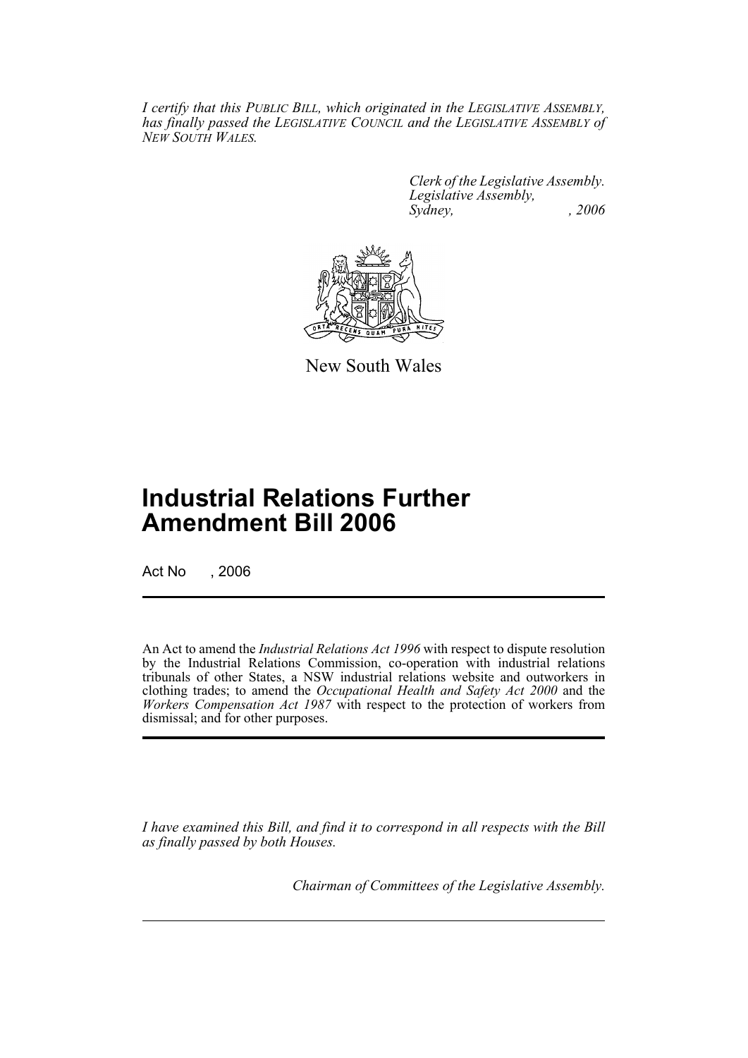*I certify that this PUBLIC BILL, which originated in the LEGISLATIVE ASSEMBLY, has finally passed the LEGISLATIVE COUNCIL and the LEGISLATIVE ASSEMBLY of NEW SOUTH WALES.*

> *Clerk of the Legislative Assembly. Legislative Assembly, Sydney, , 2006*



New South Wales

# **Industrial Relations Further Amendment Bill 2006**

Act No , 2006

An Act to amend the *Industrial Relations Act 1996* with respect to dispute resolution by the Industrial Relations Commission, co-operation with industrial relations tribunals of other States, a NSW industrial relations website and outworkers in clothing trades; to amend the *Occupational Health and Safety Act 2000* and the *Workers Compensation Act 1987* with respect to the protection of workers from dismissal; and for other purposes.

*I have examined this Bill, and find it to correspond in all respects with the Bill as finally passed by both Houses.*

*Chairman of Committees of the Legislative Assembly.*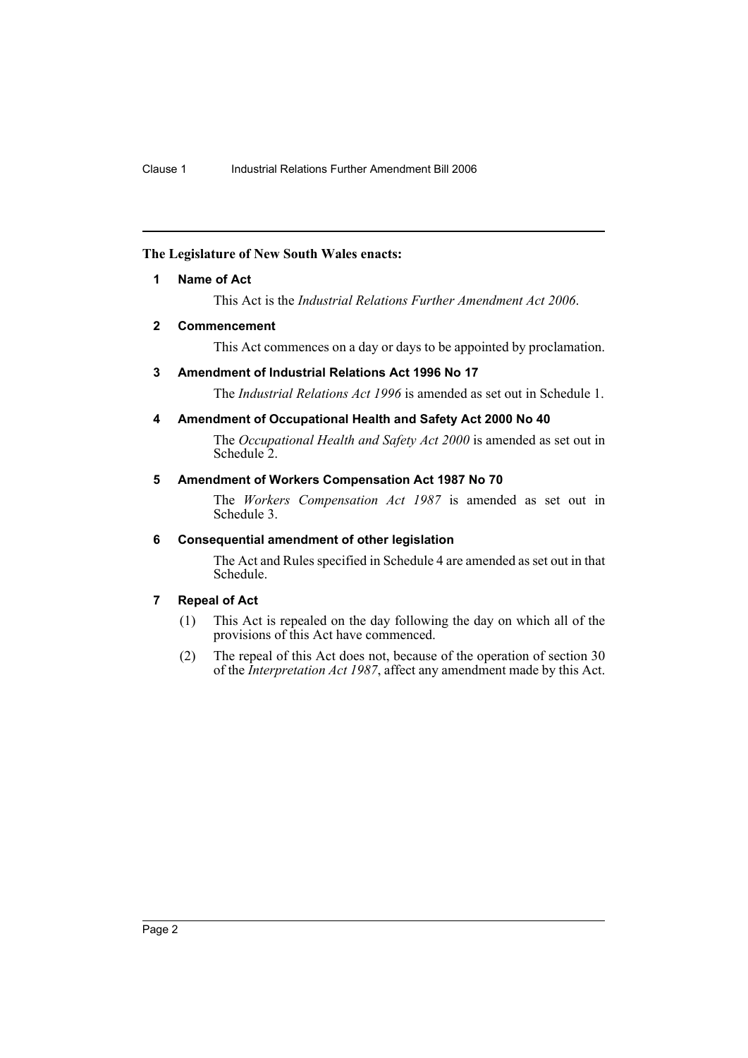# **The Legislature of New South Wales enacts:**

# **1 Name of Act**

This Act is the *Industrial Relations Further Amendment Act 2006*.

# **2 Commencement**

This Act commences on a day or days to be appointed by proclamation.

# **3 Amendment of Industrial Relations Act 1996 No 17**

The *Industrial Relations Act 1996* is amended as set out in Schedule 1.

# **4 Amendment of Occupational Health and Safety Act 2000 No 40**

The *Occupational Health and Safety Act 2000* is amended as set out in Schedule 2.

# **5 Amendment of Workers Compensation Act 1987 No 70**

The *Workers Compensation Act 1987* is amended as set out in Schedule 3.

### **6 Consequential amendment of other legislation**

The Act and Rules specified in Schedule 4 are amended as set out in that Schedule.

# **7 Repeal of Act**

- (1) This Act is repealed on the day following the day on which all of the provisions of this Act have commenced.
- (2) The repeal of this Act does not, because of the operation of section 30 of the *Interpretation Act 1987*, affect any amendment made by this Act.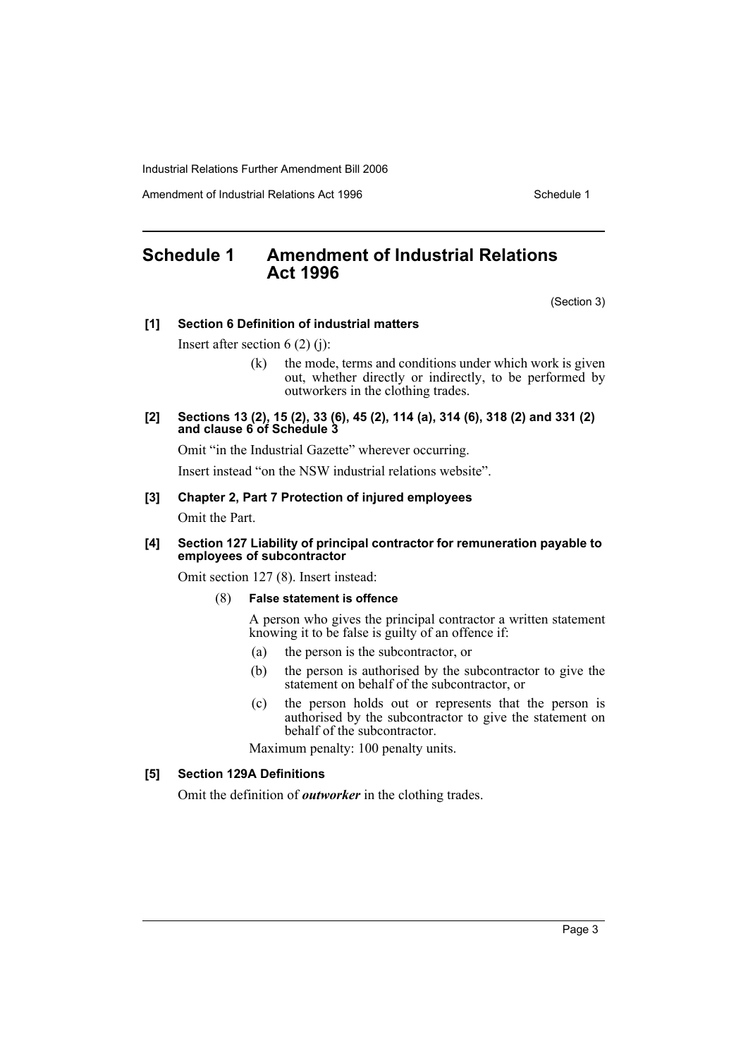Amendment of Industrial Relations Act 1996 New York Schedule 1

# **Schedule 1 Amendment of Industrial Relations Act 1996**

(Section 3)

### **[1] Section 6 Definition of industrial matters**

Insert after section 6 (2) (j):

- (k) the mode, terms and conditions under which work is given out, whether directly or indirectly, to be performed by outworkers in the clothing trades.
- **[2] Sections 13 (2), 15 (2), 33 (6), 45 (2), 114 (a), 314 (6), 318 (2) and 331 (2) and clause 6 of Schedule 3**

Omit "in the Industrial Gazette" wherever occurring.

Insert instead "on the NSW industrial relations website".

### **[3] Chapter 2, Part 7 Protection of injured employees**

Omit the Part.

### **[4] Section 127 Liability of principal contractor for remuneration payable to employees of subcontractor**

Omit section 127 (8). Insert instead:

# (8) **False statement is offence**

A person who gives the principal contractor a written statement knowing it to be false is guilty of an offence if:

- (a) the person is the subcontractor, or
- (b) the person is authorised by the subcontractor to give the statement on behalf of the subcontractor, or
- (c) the person holds out or represents that the person is authorised by the subcontractor to give the statement on behalf of the subcontractor.

Maximum penalty: 100 penalty units.

### **[5] Section 129A Definitions**

Omit the definition of *outworker* in the clothing trades.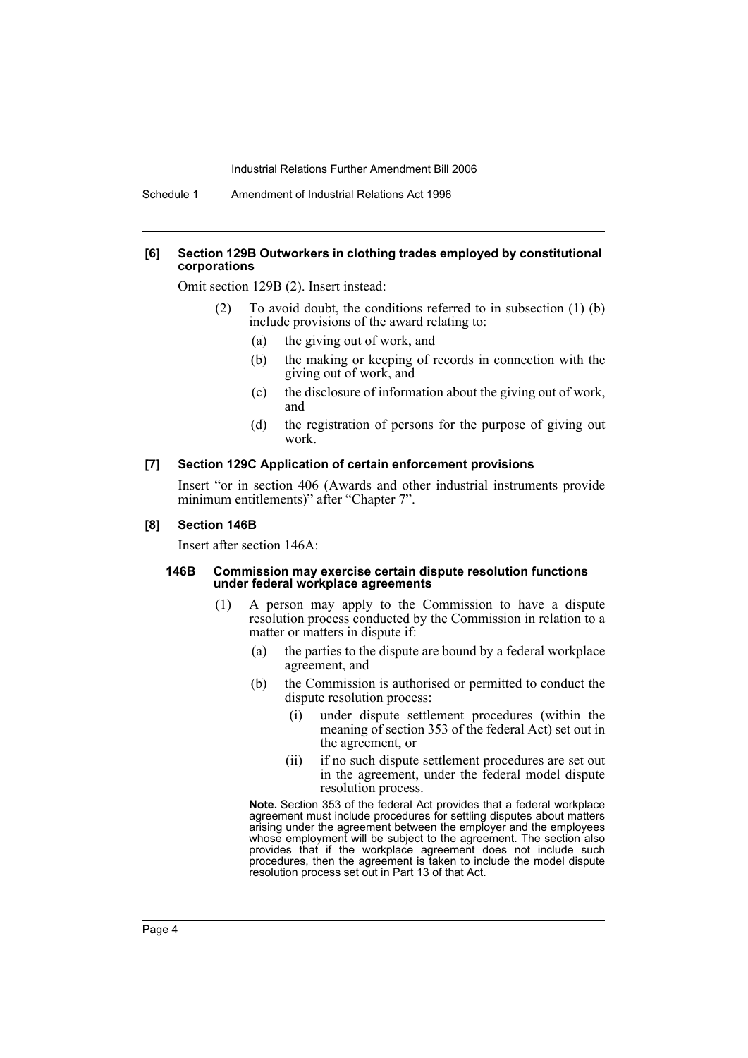### **[6] Section 129B Outworkers in clothing trades employed by constitutional corporations**

Omit section 129B (2). Insert instead:

- (2) To avoid doubt, the conditions referred to in subsection (1) (b) include provisions of the award relating to:
	- (a) the giving out of work, and
	- (b) the making or keeping of records in connection with the giving out of work, and
	- (c) the disclosure of information about the giving out of work, and
	- (d) the registration of persons for the purpose of giving out work.

### **[7] Section 129C Application of certain enforcement provisions**

Insert "or in section 406 (Awards and other industrial instruments provide minimum entitlements)" after "Chapter 7".

#### **[8] Section 146B**

Insert after section 146A:

#### **146B Commission may exercise certain dispute resolution functions under federal workplace agreements**

- (1) A person may apply to the Commission to have a dispute resolution process conducted by the Commission in relation to a matter or matters in dispute if:
	- (a) the parties to the dispute are bound by a federal workplace agreement, and
	- (b) the Commission is authorised or permitted to conduct the dispute resolution process:
		- (i) under dispute settlement procedures (within the meaning of section 353 of the federal Act) set out in the agreement, or
		- (ii) if no such dispute settlement procedures are set out in the agreement, under the federal model dispute resolution process.

**Note.** Section 353 of the federal Act provides that a federal workplace agreement must include procedures for settling disputes about matters arising under the agreement between the employer and the employees whose employment will be subject to the agreement. The section also provides that if the workplace agreement does not include such procedures, then the agreement is taken to include the model dispute resolution process set out in Part 13 of that Act.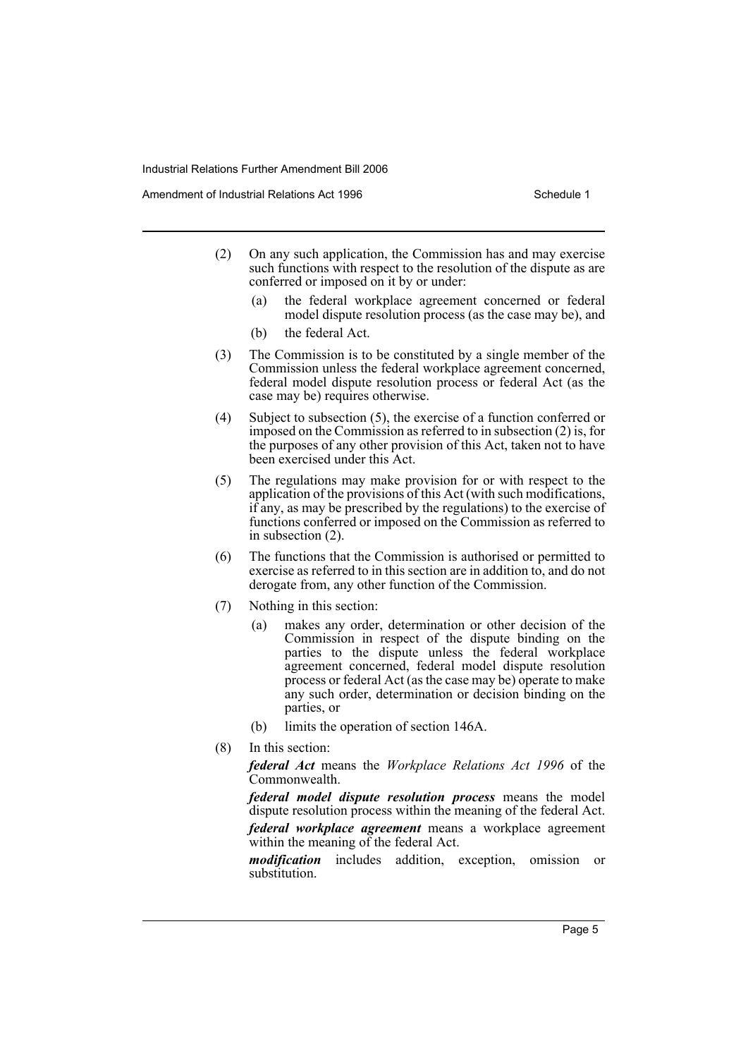Amendment of Industrial Relations Act 1996 New York Schedule 1

- (2) On any such application, the Commission has and may exercise such functions with respect to the resolution of the dispute as are conferred or imposed on it by or under:
	- (a) the federal workplace agreement concerned or federal model dispute resolution process (as the case may be), and
	- (b) the federal Act.
- (3) The Commission is to be constituted by a single member of the Commission unless the federal workplace agreement concerned, federal model dispute resolution process or federal Act (as the case may be) requires otherwise.
- (4) Subject to subsection (5), the exercise of a function conferred or imposed on the Commission as referred to in subsection (2) is, for the purposes of any other provision of this Act, taken not to have been exercised under this Act.
- (5) The regulations may make provision for or with respect to the application of the provisions of this Act (with such modifications, if any, as may be prescribed by the regulations) to the exercise of functions conferred or imposed on the Commission as referred to in subsection (2).
- (6) The functions that the Commission is authorised or permitted to exercise as referred to in this section are in addition to, and do not derogate from, any other function of the Commission.
- (7) Nothing in this section:
	- (a) makes any order, determination or other decision of the Commission in respect of the dispute binding on the parties to the dispute unless the federal workplace agreement concerned, federal model dispute resolution process or federal Act (as the case may be) operate to make any such order, determination or decision binding on the parties, or
	- (b) limits the operation of section 146A.
- (8) In this section:

*federal Act* means the *Workplace Relations Act 1996* of the Commonwealth.

*federal model dispute resolution process* means the model dispute resolution process within the meaning of the federal Act.

*federal workplace agreement* means a workplace agreement within the meaning of the federal Act.

*modification* includes addition, exception, omission or substitution.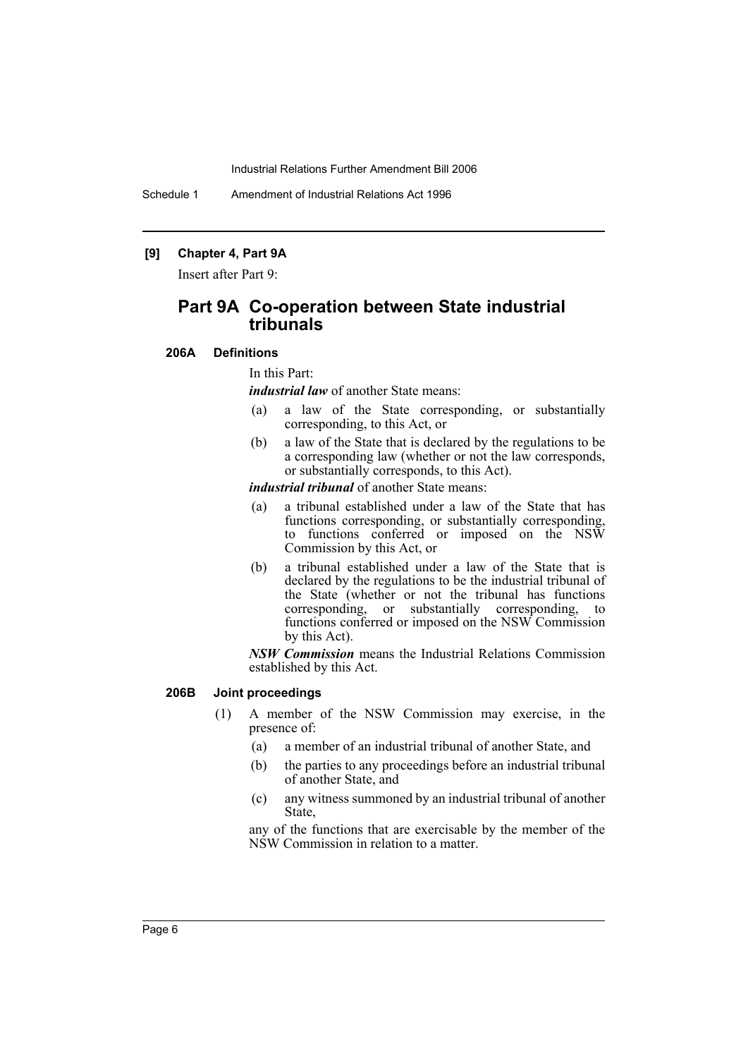Schedule 1 Amendment of Industrial Relations Act 1996

# **[9] Chapter 4, Part 9A**

Insert after Part 9:

# **Part 9A Co-operation between State industrial tribunals**

**206A Definitions**

#### In this Part:

*industrial law* of another State means:

- (a) a law of the State corresponding, or substantially corresponding, to this Act, or
- (b) a law of the State that is declared by the regulations to be a corresponding law (whether or not the law corresponds, or substantially corresponds, to this Act).

*industrial tribunal* of another State means:

- (a) a tribunal established under a law of the State that has functions corresponding, or substantially corresponding, to functions conferred or imposed on the NSW Commission by this Act, or
- (b) a tribunal established under a law of the State that is declared by the regulations to be the industrial tribunal of the State (whether or not the tribunal has functions corresponding, or substantially corresponding, to functions conferred or imposed on the NSW Commission by this Act).

*NSW Commission* means the Industrial Relations Commission established by this Act.

### **206B Joint proceedings**

- (1) A member of the NSW Commission may exercise, in the presence of:
	- (a) a member of an industrial tribunal of another State, and
	- (b) the parties to any proceedings before an industrial tribunal of another State, and
	- (c) any witness summoned by an industrial tribunal of another State,

any of the functions that are exercisable by the member of the NSW Commission in relation to a matter.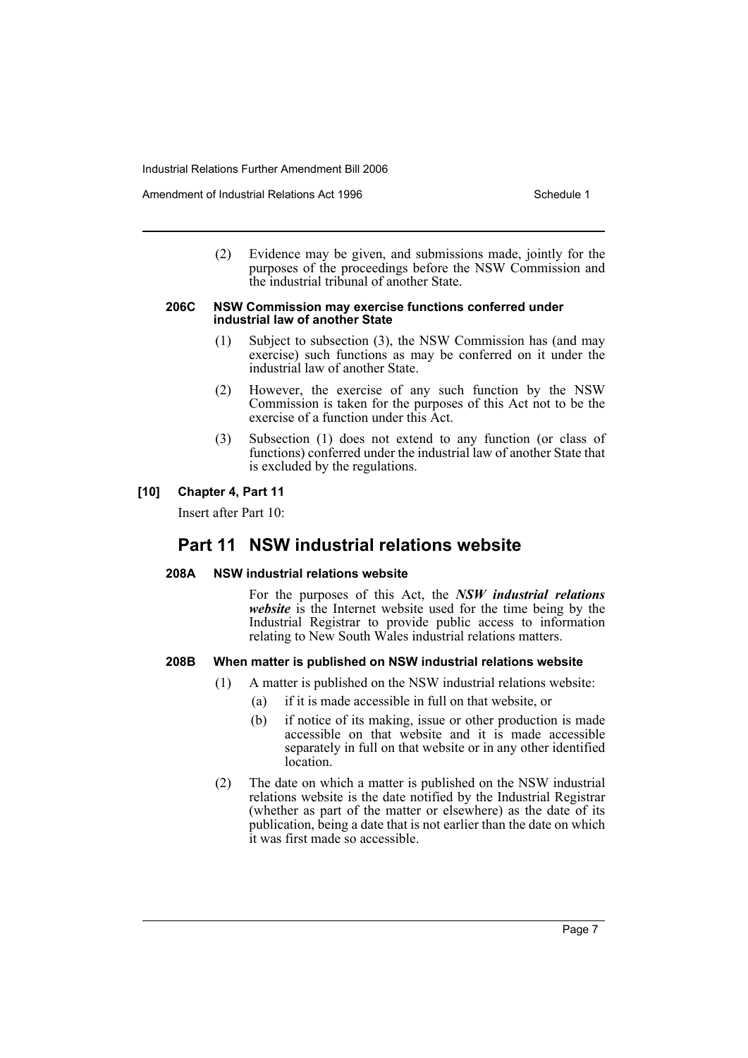Amendment of Industrial Relations Act 1996 New York Schedule 1

(2) Evidence may be given, and submissions made, jointly for the purposes of the proceedings before the NSW Commission and the industrial tribunal of another State.

#### **206C NSW Commission may exercise functions conferred under industrial law of another State**

- (1) Subject to subsection (3), the NSW Commission has (and may exercise) such functions as may be conferred on it under the industrial law of another State.
- (2) However, the exercise of any such function by the NSW Commission is taken for the purposes of this Act not to be the exercise of a function under this Act.
- (3) Subsection (1) does not extend to any function (or class of functions) conferred under the industrial law of another State that is excluded by the regulations.

# **[10] Chapter 4, Part 11**

Insert after Part 10:

# **Part 11 NSW industrial relations website**

### **208A NSW industrial relations website**

For the purposes of this Act, the *NSW industrial relations website* is the Internet website used for the time being by the Industrial Registrar to provide public access to information relating to New South Wales industrial relations matters.

### **208B When matter is published on NSW industrial relations website**

- (1) A matter is published on the NSW industrial relations website:
	- (a) if it is made accessible in full on that website, or
	- (b) if notice of its making, issue or other production is made accessible on that website and it is made accessible separately in full on that website or in any other identified location.
- (2) The date on which a matter is published on the NSW industrial relations website is the date notified by the Industrial Registrar (whether as part of the matter or elsewhere) as the date of its publication, being a date that is not earlier than the date on which it was first made so accessible.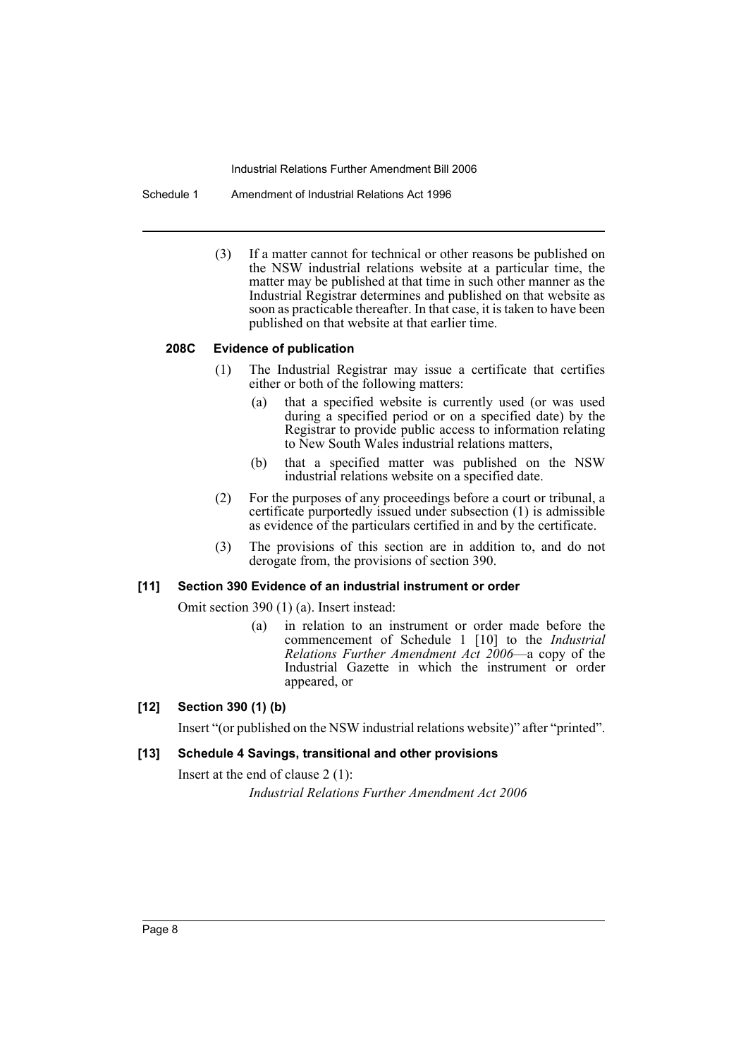Schedule 1 Amendment of Industrial Relations Act 1996

(3) If a matter cannot for technical or other reasons be published on the NSW industrial relations website at a particular time, the matter may be published at that time in such other manner as the Industrial Registrar determines and published on that website as soon as practicable thereafter. In that case, it is taken to have been published on that website at that earlier time.

# **208C Evidence of publication**

- (1) The Industrial Registrar may issue a certificate that certifies either or both of the following matters:
	- (a) that a specified website is currently used (or was used during a specified period or on a specified date) by the Registrar to provide public access to information relating to New South Wales industrial relations matters,
	- (b) that a specified matter was published on the NSW industrial relations website on a specified date.
- (2) For the purposes of any proceedings before a court or tribunal, a certificate purportedly issued under subsection (1) is admissible as evidence of the particulars certified in and by the certificate.
- (3) The provisions of this section are in addition to, and do not derogate from, the provisions of section 390.

### **[11] Section 390 Evidence of an industrial instrument or order**

Omit section 390 (1) (a). Insert instead:

(a) in relation to an instrument or order made before the commencement of Schedule 1 [10] to the *Industrial Relations Further Amendment Act 2006*—a copy of the Industrial Gazette in which the instrument or order appeared, or

# **[12] Section 390 (1) (b)**

Insert "(or published on the NSW industrial relations website)" after "printed".

# **[13] Schedule 4 Savings, transitional and other provisions**

Insert at the end of clause 2 (1): *Industrial Relations Further Amendment Act 2006*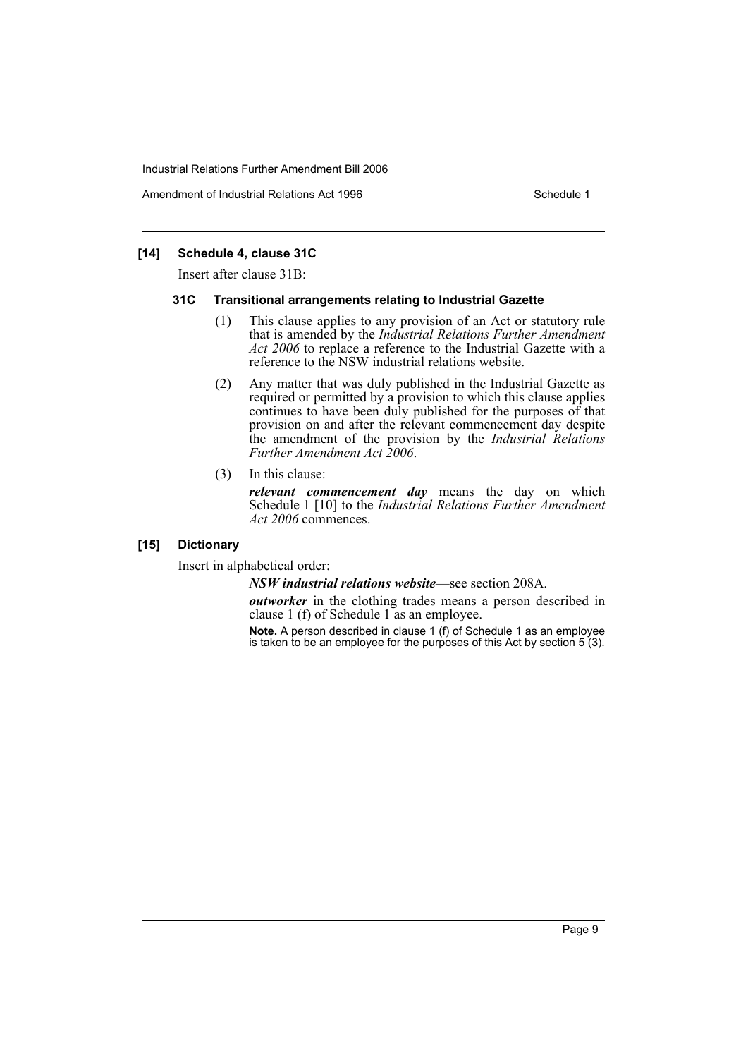Amendment of Industrial Relations Act 1996 New York Schedule 1

# **[14] Schedule 4, clause 31C**

Insert after clause 31B:

### **31C Transitional arrangements relating to Industrial Gazette**

- (1) This clause applies to any provision of an Act or statutory rule that is amended by the *Industrial Relations Further Amendment Act 2006* to replace a reference to the Industrial Gazette with a reference to the NSW industrial relations website.
- (2) Any matter that was duly published in the Industrial Gazette as required or permitted by a provision to which this clause applies continues to have been duly published for the purposes of that provision on and after the relevant commencement day despite the amendment of the provision by the *Industrial Relations Further Amendment Act 2006*.
- (3) In this clause:

*relevant commencement day* means the day on which Schedule 1 [10] to the *Industrial Relations Further Amendment Act 2006* commences.

# **[15] Dictionary**

Insert in alphabetical order:

*NSW industrial relations website*—see section 208A.

*outworker* in the clothing trades means a person described in clause 1 (f) of Schedule 1 as an employee.

**Note.** A person described in clause 1 (f) of Schedule 1 as an employee is taken to be an employee for the purposes of this Act by section 5 (3).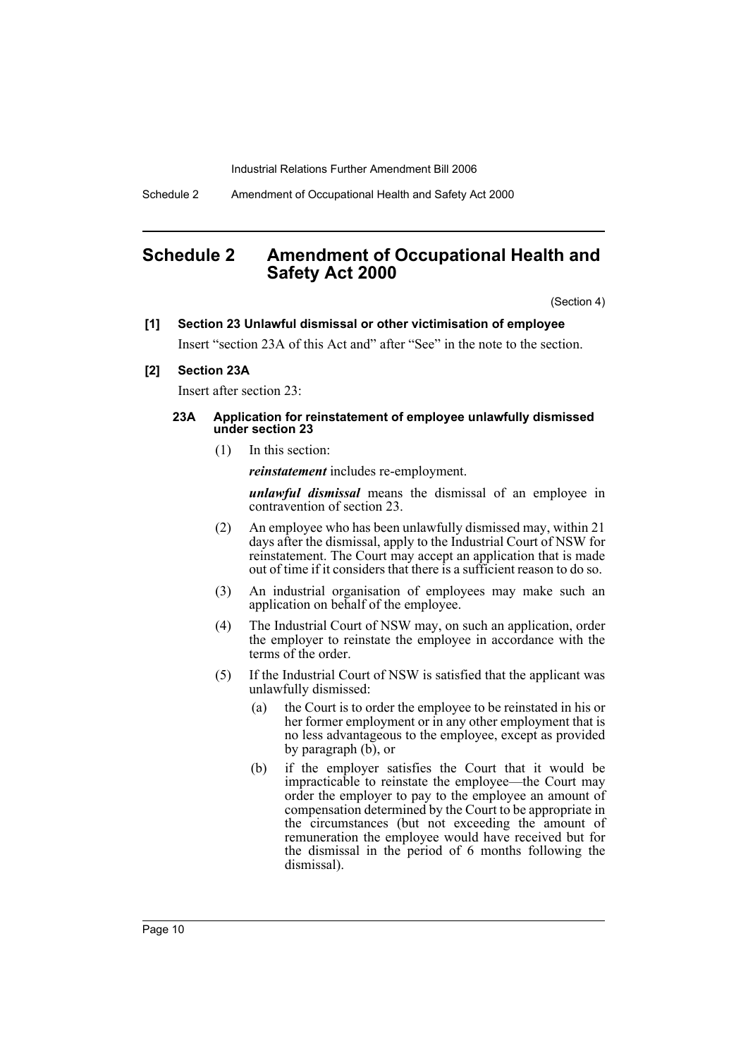Schedule 2 Amendment of Occupational Health and Safety Act 2000

# **Schedule 2 Amendment of Occupational Health and Safety Act 2000**

(Section 4)

### **[1] Section 23 Unlawful dismissal or other victimisation of employee**

Insert "section 23A of this Act and" after "See" in the note to the section.

# **[2] Section 23A**

Insert after section 23:

### **23A Application for reinstatement of employee unlawfully dismissed under section 23**

(1) In this section:

*reinstatement* includes re-employment.

*unlawful dismissal* means the dismissal of an employee in contravention of section 23.

- (2) An employee who has been unlawfully dismissed may, within 21 days after the dismissal, apply to the Industrial Court of NSW for reinstatement. The Court may accept an application that is made out of time if it considers that there is a sufficient reason to do so.
- (3) An industrial organisation of employees may make such an application on behalf of the employee.
- (4) The Industrial Court of NSW may, on such an application, order the employer to reinstate the employee in accordance with the terms of the order.
- (5) If the Industrial Court of NSW is satisfied that the applicant was unlawfully dismissed:
	- (a) the Court is to order the employee to be reinstated in his or her former employment or in any other employment that is no less advantageous to the employee, except as provided by paragraph (b), or
	- (b) if the employer satisfies the Court that it would be impracticable to reinstate the employee—the Court may order the employer to pay to the employee an amount of compensation determined by the Court to be appropriate in the circumstances (but not exceeding the amount of remuneration the employee would have received but for the dismissal in the period of 6 months following the dismissal).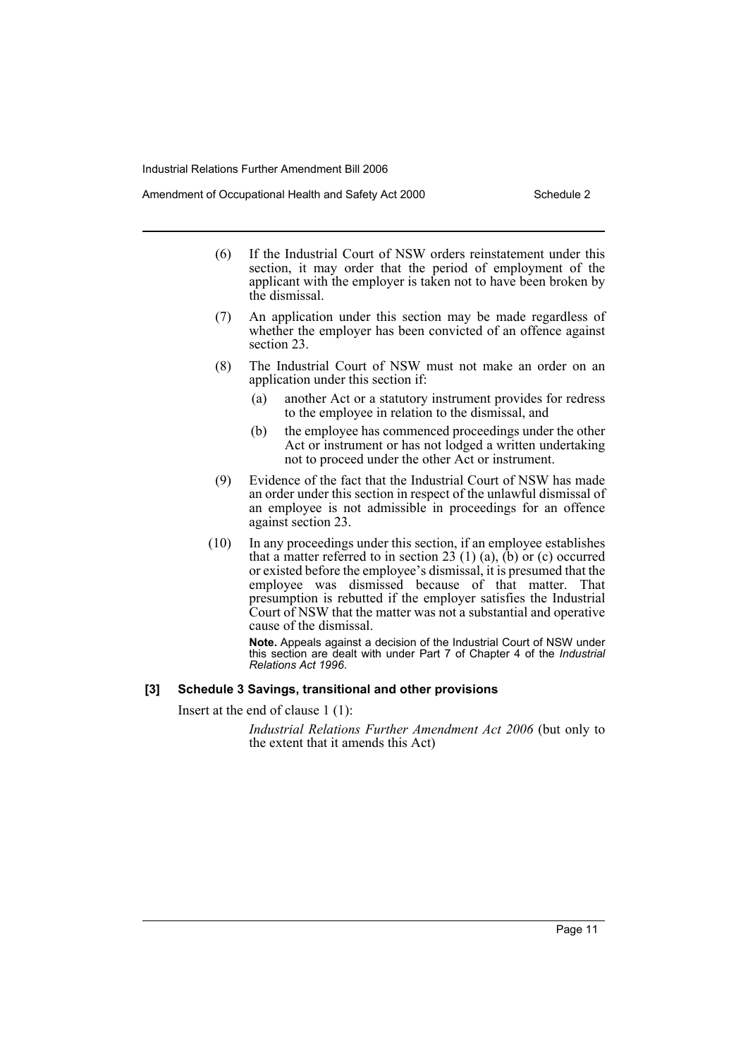Amendment of Occupational Health and Safety Act 2000 Schedule 2

- (6) If the Industrial Court of NSW orders reinstatement under this section, it may order that the period of employment of the applicant with the employer is taken not to have been broken by the dismissal.
- (7) An application under this section may be made regardless of whether the employer has been convicted of an offence against section 23.
- (8) The Industrial Court of NSW must not make an order on an application under this section if:
	- (a) another Act or a statutory instrument provides for redress to the employee in relation to the dismissal, and
	- (b) the employee has commenced proceedings under the other Act or instrument or has not lodged a written undertaking not to proceed under the other Act or instrument.
- (9) Evidence of the fact that the Industrial Court of NSW has made an order under this section in respect of the unlawful dismissal of an employee is not admissible in proceedings for an offence against section 23.
- (10) In any proceedings under this section, if an employee establishes that a matter referred to in section 23 (1) (a),  $(b)$  or (c) occurred or existed before the employee's dismissal, it is presumed that the employee was dismissed because of that matter. That presumption is rebutted if the employer satisfies the Industrial Court of NSW that the matter was not a substantial and operative cause of the dismissal.

**Note.** Appeals against a decision of the Industrial Court of NSW under this section are dealt with under Part 7 of Chapter 4 of the *Industrial Relations Act 1996*.

# **[3] Schedule 3 Savings, transitional and other provisions**

Insert at the end of clause 1 (1):

*Industrial Relations Further Amendment Act 2006* (but only to the extent that it amends this Act)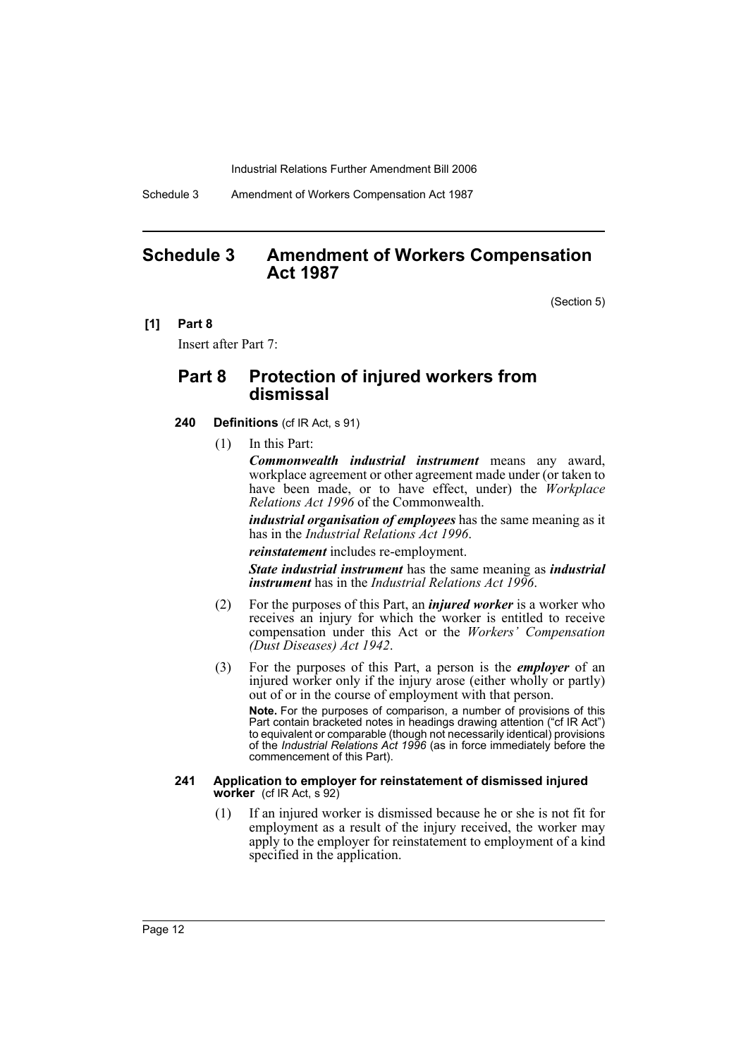Schedule 3 Amendment of Workers Compensation Act 1987

# **Schedule 3 Amendment of Workers Compensation Act 1987**

(Section 5)

**[1] Part 8**

Insert after Part 7:

# **Part 8 Protection of injured workers from dismissal**

- **240 Definitions** (cf IR Act, s 91)
	- (1) In this Part:

*Commonwealth industrial instrument* means any award, workplace agreement or other agreement made under (or taken to have been made, or to have effect, under) the *Workplace Relations Act 1996* of the Commonwealth.

*industrial organisation of employees* has the same meaning as it has in the *Industrial Relations Act 1996*.

*reinstatement* includes re-employment.

*State industrial instrument* has the same meaning as *industrial instrument* has in the *Industrial Relations Act 1996*.

- (2) For the purposes of this Part, an *injured worker* is a worker who receives an injury for which the worker is entitled to receive compensation under this Act or the *Workers' Compensation (Dust Diseases) Act 1942*.
- (3) For the purposes of this Part, a person is the *employer* of an injured worker only if the injury arose (either wholly or partly) out of or in the course of employment with that person.

**Note.** For the purposes of comparison, a number of provisions of this Part contain bracketed notes in headings drawing attention ("cf IR Act") to equivalent or comparable (though not necessarily identical) provisions of the *Industrial Relations Act 1996* (as in force immediately before the commencement of this Part).

#### **241 Application to employer for reinstatement of dismissed injured worker** (cf IR Act, s 92)

(1) If an injured worker is dismissed because he or she is not fit for employment as a result of the injury received, the worker may apply to the employer for reinstatement to employment of a kind specified in the application.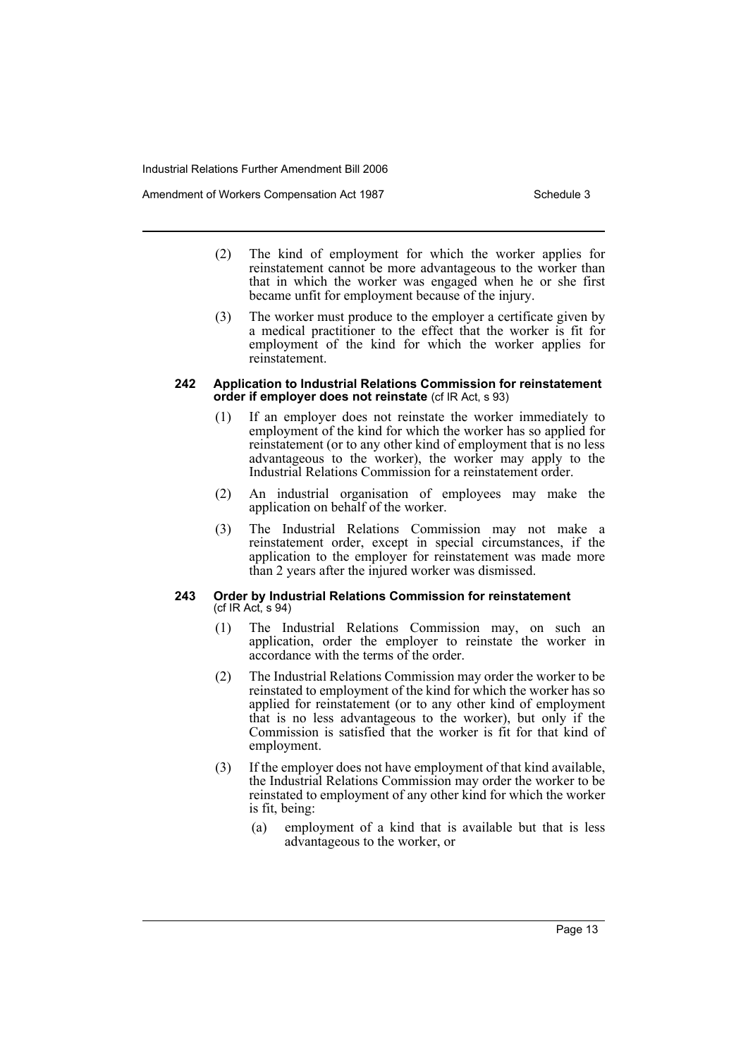Amendment of Workers Compensation Act 1987 Number 2012 1987

- (2) The kind of employment for which the worker applies for reinstatement cannot be more advantageous to the worker than that in which the worker was engaged when he or she first became unfit for employment because of the injury.
- (3) The worker must produce to the employer a certificate given by a medical practitioner to the effect that the worker is fit for employment of the kind for which the worker applies for reinstatement.

### **242 Application to Industrial Relations Commission for reinstatement order if employer does not reinstate** (cf IR Act, s 93)

- (1) If an employer does not reinstate the worker immediately to employment of the kind for which the worker has so applied for reinstatement (or to any other kind of employment that is no less advantageous to the worker), the worker may apply to the Industrial Relations Commission for a reinstatement order.
- (2) An industrial organisation of employees may make the application on behalf of the worker.
- (3) The Industrial Relations Commission may not make a reinstatement order, except in special circumstances, if the application to the employer for reinstatement was made more than 2 years after the injured worker was dismissed.

#### **243 Order by Industrial Relations Commission for reinstatement**  (cf IR Act, s 94)

- (1) The Industrial Relations Commission may, on such an application, order the employer to reinstate the worker in accordance with the terms of the order.
- (2) The Industrial Relations Commission may order the worker to be reinstated to employment of the kind for which the worker has so applied for reinstatement (or to any other kind of employment that is no less advantageous to the worker), but only if the Commission is satisfied that the worker is fit for that kind of employment.
- (3) If the employer does not have employment of that kind available, the Industrial Relations Commission may order the worker to be reinstated to employment of any other kind for which the worker is fit, being:
	- (a) employment of a kind that is available but that is less advantageous to the worker, or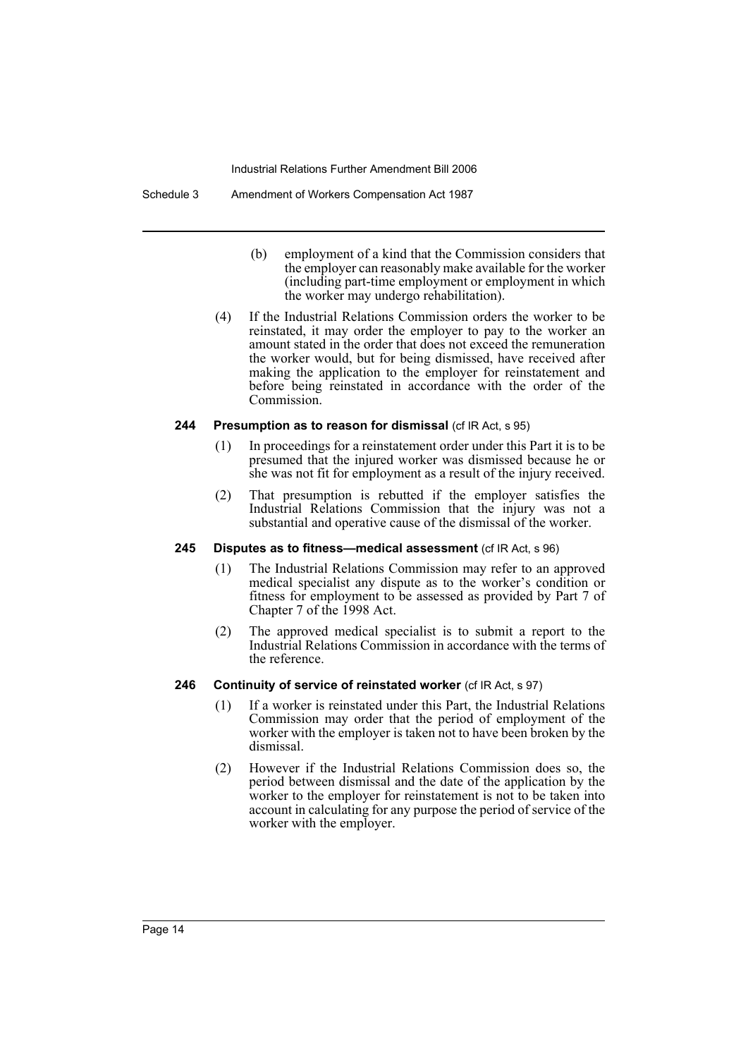#### Schedule 3 Amendment of Workers Compensation Act 1987

- (b) employment of a kind that the Commission considers that the employer can reasonably make available for the worker (including part-time employment or employment in which the worker may undergo rehabilitation).
- (4) If the Industrial Relations Commission orders the worker to be reinstated, it may order the employer to pay to the worker an amount stated in the order that does not exceed the remuneration the worker would, but for being dismissed, have received after making the application to the employer for reinstatement and before being reinstated in accordance with the order of the Commission.

### **244 Presumption as to reason for dismissal** (cf IR Act, s 95)

- (1) In proceedings for a reinstatement order under this Part it is to be presumed that the injured worker was dismissed because he or she was not fit for employment as a result of the injury received.
- (2) That presumption is rebutted if the employer satisfies the Industrial Relations Commission that the injury was not a substantial and operative cause of the dismissal of the worker.

### **245 Disputes as to fitness—medical assessment** (cf IR Act, s 96)

- (1) The Industrial Relations Commission may refer to an approved medical specialist any dispute as to the worker's condition or fitness for employment to be assessed as provided by Part 7 of Chapter 7 of the 1998 Act.
- (2) The approved medical specialist is to submit a report to the Industrial Relations Commission in accordance with the terms of the reference.

# **246 Continuity of service of reinstated worker** (cf IR Act, s 97)

- (1) If a worker is reinstated under this Part, the Industrial Relations Commission may order that the period of employment of the worker with the employer is taken not to have been broken by the dismissal.
- (2) However if the Industrial Relations Commission does so, the period between dismissal and the date of the application by the worker to the employer for reinstatement is not to be taken into account in calculating for any purpose the period of service of the worker with the employer.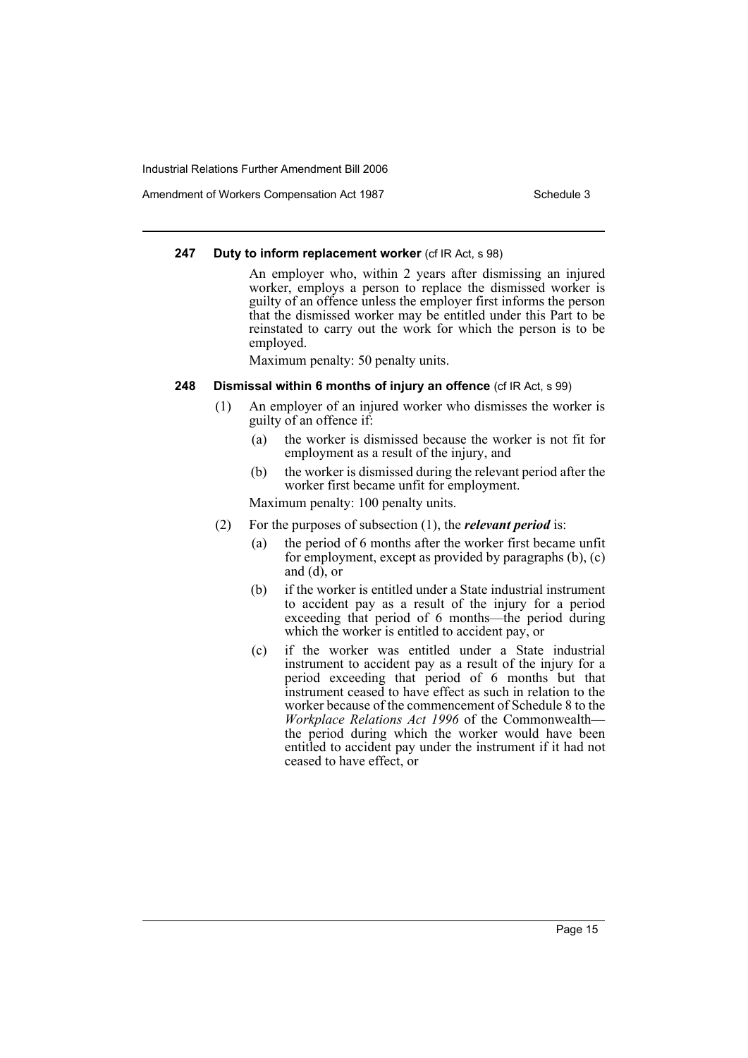Amendment of Workers Compensation Act 1987 Number 2012 1987

# **247 Duty to inform replacement worker** (cf IR Act, s 98)

An employer who, within 2 years after dismissing an injured worker, employs a person to replace the dismissed worker is guilty of an offence unless the employer first informs the person that the dismissed worker may be entitled under this Part to be reinstated to carry out the work for which the person is to be employed.

Maximum penalty: 50 penalty units.

# **248 Dismissal within 6 months of injury an offence** (cf IR Act, s 99)

- (1) An employer of an injured worker who dismisses the worker is guilty of an offence if:
	- (a) the worker is dismissed because the worker is not fit for employment as a result of the injury, and
	- (b) the worker is dismissed during the relevant period after the worker first became unfit for employment.

Maximum penalty: 100 penalty units.

- (2) For the purposes of subsection (1), the *relevant period* is:
	- (a) the period of 6 months after the worker first became unfit for employment, except as provided by paragraphs (b), (c) and  $(d)$ , or
	- (b) if the worker is entitled under a State industrial instrument to accident pay as a result of the injury for a period exceeding that period of 6 months—the period during which the worker is entitled to accident pay, or
	- (c) if the worker was entitled under a State industrial instrument to accident pay as a result of the injury for a period exceeding that period of 6 months but that instrument ceased to have effect as such in relation to the worker because of the commencement of Schedule 8 to the *Workplace Relations Act 1996* of the Commonwealth the period during which the worker would have been entitled to accident pay under the instrument if it had not ceased to have effect, or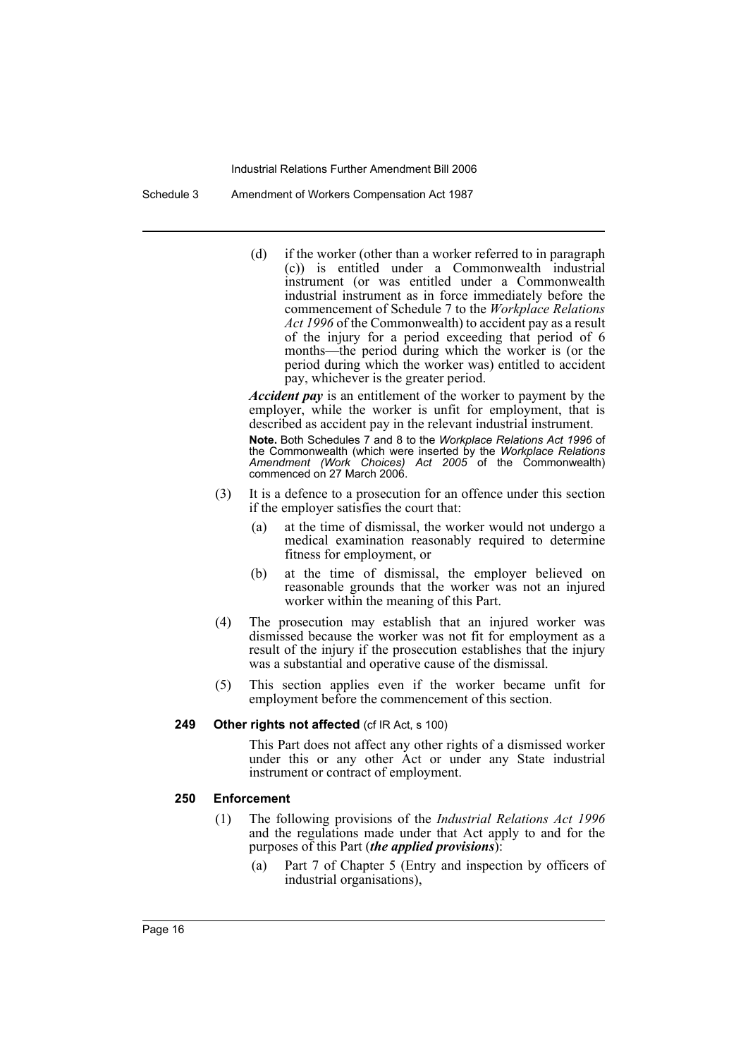Schedule 3 Amendment of Workers Compensation Act 1987

(d) if the worker (other than a worker referred to in paragraph (c)) is entitled under a Commonwealth industrial instrument (or was entitled under a Commonwealth industrial instrument as in force immediately before the commencement of Schedule 7 to the *Workplace Relations Act 1996* of the Commonwealth) to accident pay as a result of the injury for a period exceeding that period of 6 months—the period during which the worker is (or the period during which the worker was) entitled to accident pay, whichever is the greater period.

*Accident pay* is an entitlement of the worker to payment by the employer, while the worker is unfit for employment, that is described as accident pay in the relevant industrial instrument.

**Note.** Both Schedules 7 and 8 to the *Workplace Relations Act 1996* of the Commonwealth (which were inserted by the *Workplace Relations Amendment (Work Choices) Act 2005* of the Commonwealth) commenced on 27 March 2006.

- (3) It is a defence to a prosecution for an offence under this section if the employer satisfies the court that:
	- (a) at the time of dismissal, the worker would not undergo a medical examination reasonably required to determine fitness for employment, or
	- (b) at the time of dismissal, the employer believed on reasonable grounds that the worker was not an injured worker within the meaning of this Part.
- (4) The prosecution may establish that an injured worker was dismissed because the worker was not fit for employment as a result of the injury if the prosecution establishes that the injury was a substantial and operative cause of the dismissal.
- (5) This section applies even if the worker became unfit for employment before the commencement of this section.

# 249 Other rights not affected (cf IR Act, s 100)

This Part does not affect any other rights of a dismissed worker under this or any other Act or under any State industrial instrument or contract of employment.

### **250 Enforcement**

- (1) The following provisions of the *Industrial Relations Act 1996* and the regulations made under that Act apply to and for the purposes of this Part (*the applied provisions*):
	- (a) Part 7 of Chapter 5 (Entry and inspection by officers of industrial organisations),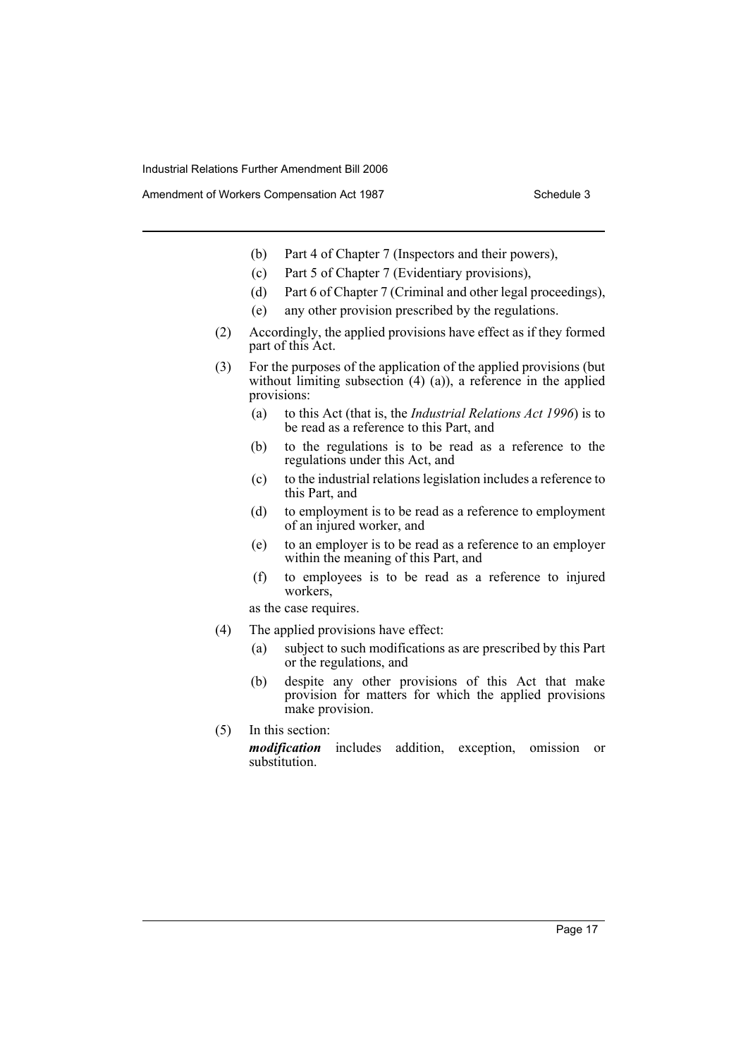Amendment of Workers Compensation Act 1987 **Schedule 3** Schedule 3

- (b) Part 4 of Chapter 7 (Inspectors and their powers),
- (c) Part 5 of Chapter 7 (Evidentiary provisions),
- (d) Part 6 of Chapter 7 (Criminal and other legal proceedings),
- (e) any other provision prescribed by the regulations.
- (2) Accordingly, the applied provisions have effect as if they formed part of this Act.
- (3) For the purposes of the application of the applied provisions (but without limiting subsection  $(4)$   $(a)$ ), a reference in the applied provisions:
	- (a) to this Act (that is, the *Industrial Relations Act 1996*) is to be read as a reference to this Part, and
	- (b) to the regulations is to be read as a reference to the regulations under this Act, and
	- (c) to the industrial relations legislation includes a reference to this Part, and
	- (d) to employment is to be read as a reference to employment of an injured worker, and
	- (e) to an employer is to be read as a reference to an employer within the meaning of this Part, and
	- (f) to employees is to be read as a reference to injured workers,

as the case requires.

- (4) The applied provisions have effect:
	- (a) subject to such modifications as are prescribed by this Part or the regulations, and
	- (b) despite any other provisions of this Act that make provision for matters for which the applied provisions make provision.
- (5) In this section: *modification* includes addition, exception, omission or substitution.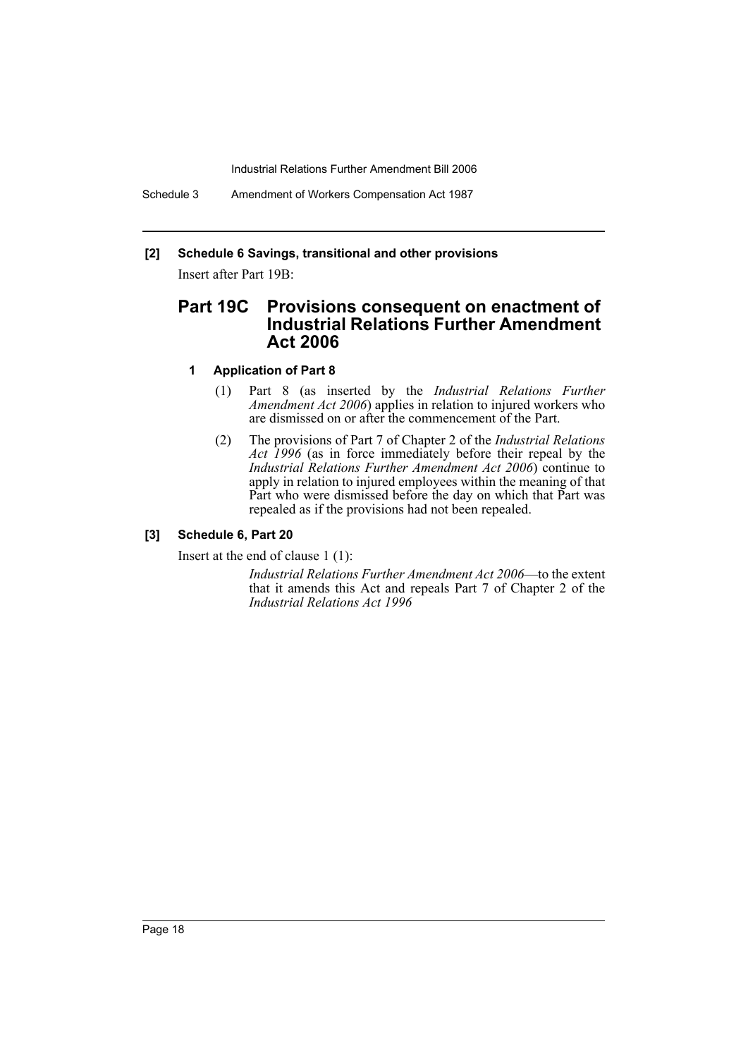Schedule 3 Amendment of Workers Compensation Act 1987

# **[2] Schedule 6 Savings, transitional and other provisions**

Insert after Part 19B:

# **Part 19C Provisions consequent on enactment of Industrial Relations Further Amendment Act 2006**

### **1 Application of Part 8**

- (1) Part 8 (as inserted by the *Industrial Relations Further Amendment Act 2006*) applies in relation to injured workers who are dismissed on or after the commencement of the Part.
- (2) The provisions of Part 7 of Chapter 2 of the *Industrial Relations Act 1996* (as in force immediately before their repeal by the *Industrial Relations Further Amendment Act 2006*) continue to apply in relation to injured employees within the meaning of that Part who were dismissed before the day on which that Part was repealed as if the provisions had not been repealed.

# **[3] Schedule 6, Part 20**

Insert at the end of clause 1 (1):

*Industrial Relations Further Amendment Act 2006*—to the extent that it amends this Act and repeals Part 7 of Chapter 2 of the *Industrial Relations Act 1996*